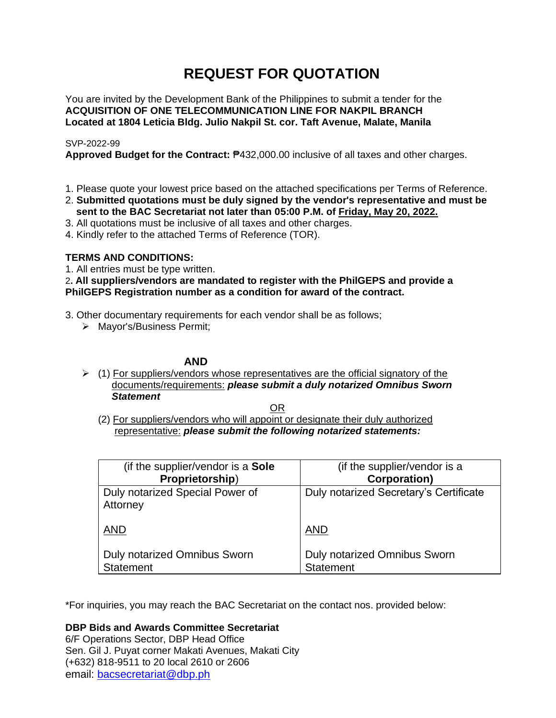# **REQUEST FOR QUOTATION**

You are invited by the Development Bank of the Philippines to submit a tender for the **ACQUISITION OF ONE TELECOMMUNICATION LINE FOR NAKPIL BRANCH Located at 1804 Leticia Bldg. Julio Nakpil St. cor. Taft Avenue, Malate, Manila**

# SVP-2022-99

**Approved Budget for the Contract:** ₱432,000.00 inclusive of all taxes and other charges.

- 1. Please quote your lowest price based on the attached specifications per Terms of Reference.
- 2. **Submitted quotations must be duly signed by the vendor's representative and must be sent to the BAC Secretariat not later than 05:00 P.M. of Friday, May 20, 2022.**
- 3. All quotations must be inclusive of all taxes and other charges.
- 4. Kindly refer to the attached Terms of Reference (TOR).

# **TERMS AND CONDITIONS:**

1. All entries must be type written.

# 2**. All suppliers/vendors are mandated to register with the PhilGEPS and provide a PhilGEPS Registration number as a condition for award of the contract.**

- 3. Other documentary requirements for each vendor shall be as follows;
	- ➢ Mayor's/Business Permit;

# **AND**

 $\geq$  (1) For suppliers/vendors whose representatives are the official signatory of the documents/requirements: *please submit a duly notarized Omnibus Sworn Statement*

<u>OR Starting and the Starting OR Starting</u>

(2) For suppliers/vendors who will appoint or designate their duly authorized representative: *please submit the following notarized statements:*

| (if the supplier/vendor is a Sole                | (if the supplier/vendor is a                            |
|--------------------------------------------------|---------------------------------------------------------|
| Proprietorship)                                  | <b>Corporation)</b>                                     |
| Duly notarized Special Power of<br>Attorney      | Duly notarized Secretary's Certificate                  |
| <b>AND</b>                                       | <b>AND</b>                                              |
| Duly notarized Omnibus Sworn<br><b>Statement</b> | <b>Duly notarized Omnibus Sworn</b><br><b>Statement</b> |

\*For inquiries, you may reach the BAC Secretariat on the contact nos. provided below:

**DBP Bids and Awards Committee Secretariat** 

6/F Operations Sector, DBP Head Office Sen. Gil J. Puyat corner Makati Avenues, Makati City (+632) 818-9511 to 20 local 2610 or 2606 email: [bacsecretariat@dbp.ph](mailto:bacsecretariat@dbp.ph)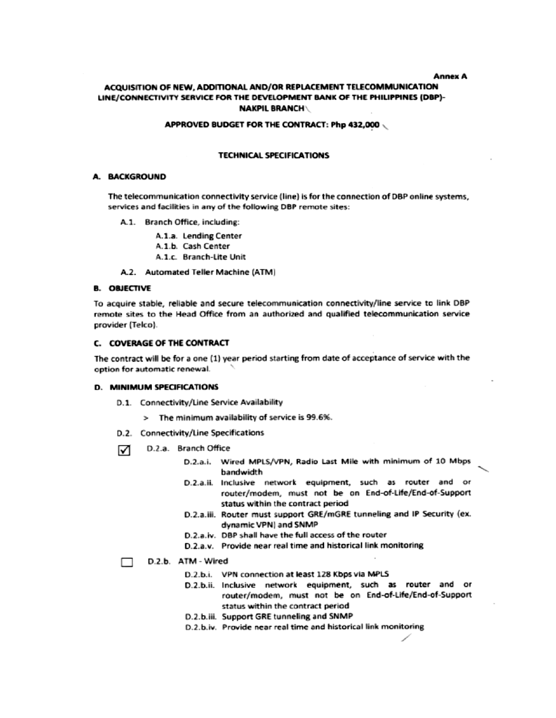#### **Annex A**

# ACQUISITION OF NEW, ADDITIONAL AND/OR REPLACEMENT TELECOMMUNICATION LINE/CONNECTIVITY SERVICE FOR THE DEVELOPMENT BANK OF THE PHILIPPINES (DBP)-**NAKPIL BRANCH\**

#### APPROVED BUDGET FOR THE CONTRACT: Php 432,000

#### **TECHNICAL SPECIFICATIONS**

### A. BACKGROUND

The telecommunication connectivity service (line) is for the connection of DBP online systems. services and facilities in any of the following DBP remote sites:

- A.1. Branch Office, including:
	- A.1.a. Lending Center
	- A.1.b. Cash Center
	- A.1.c. Branch-Lite Unit
- A.2. Automated Teller Machine (ATM)

#### **B. OBJECTIVE**

To acquire stable, reliable and secure telecommunication connectivity/line service to link DBP remote sites to the Head Office from an authorized and qualified telecommunication service provider (Telco).

#### C. COVERAGE OF THE CONTRACT

The contract will be for a one (1) year period starting from date of acceptance of service with the option for automatic renewal.

#### **D. MINIMUM SPECIFICATIONS**

- D.1. Connectivity/Line Service Availability
	- > The minimum availability of service is 99.6%.
- D.2. Connectivity/Line Specifications
- D.2.a. Branch Office M
	- D.2.a.i. Wired MPLS/VPN, Radio Last Mile with minimum of 10 Mbps bandwidth
	- D.2.a.ii. Inclusive network equipment, such as router and or router/modem, must not be on End-of-Life/End-of-Support status within the contract period
	- D.2.a.iii. Router must support GRE/mGRE tunneling and IP Security (ex. dynamic VPN) and SNMP
	- D.2.a.iv. DBP shall have the full access of the router
	- D.2.a.v. Provide near real time and historical link monitoring

# D.2.b. ATM - Wired

- D.2.b.i. VPN connection at least 128 Kbps via MPLS
- D.2.b.ii. Inclusive network equipment, such as router and or router/modem, must not be on End-of-Life/End-of-Support status within the contract period
- D.2.b.iii. Support GRE tunneling and SNMP
- D.2.b.iv. Provide near real time and historical link monitoring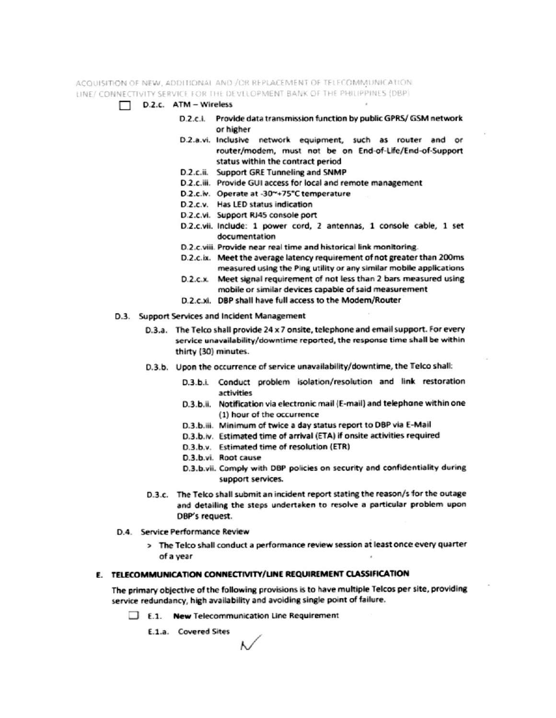ACQUISITION OF NEW, ADDITIONAL AND /OR REPLACEMENT OF TELECOMMUNICATION LINE/ CONNECTIVITY SERVICE FOR THE DEVELOPMENT BANK OF THE PHILIPPINES (DBP)

- D.2.c. ATM Wireless
	- D.2.c.i. Provide data transmission function by public GPRS/ GSM network or higher
	- D.2.a.vi. Inclusive network equipment, such as router and or router/modem, must not be on End-of-Life/End-of-Support status within the contract period
	- D.2.c.ii. Support GRE Tunneling and SNMP
	- D.2.c.iii. Provide GUI access for local and remote management
	- D.2.c.iv. Operate at -30~+75°C temperature
	- D.2.c.v. Has LED status indication
	- D.2.c.vi. Support RJ45 console port
	- D.2.c.vii. Include: 1 power cord, 2 antennas, 1 console cable, 1 set documentation
	- D.2.c.viii. Provide near real time and historical link monitoring.
	- D.2.c.ix. Meet the average latency requirement of not greater than 200ms measured using the Ping utility or any similar mobile applications
	- $D.2.c.x$ Meet signal requirement of not less than 2 bars measured using mobile or similar devices capable of said measurement
	- D.2.c.xi. DBP shall have full access to the Modem/Router
- D.3. Support Services and Incident Management
	- D.3.a. The Telco shall provide 24 x 7 onsite, telephone and email support. For every service unavailability/downtime reported, the response time shall be within thirty (30) minutes.
	- D.3.b. Upon the occurrence of service unavailability/downtime, the Telco shall:
		- D.3.b.i. Conduct problem isolation/resolution and link restoration activities
		- D.3.b.ii. Notification via electronic mail (E-mail) and telephone within one (1) hour of the occurrence
		- D.3.b.iii. Minimum of twice a day status report to DBP via E-Mail
		- D.3.b.iv. Estimated time of arrival (ETA) if onsite activities required
		- D.3.b.v. Estimated time of resolution (ETR)
		- D.3.b.vi. Root cause
		- D.3.b.vii. Comply with DBP policies on security and confidentiality during support services.
	- D.3.c. The Telco shall submit an incident report stating the reason/s for the outage and detailing the steps undertaken to resolve a particular problem upon DBP's request.
- D.4. Service Performance Review
	- > The Telco shall conduct a performance review session at least once every quarter of a year

### E. TELECOMMUNICATION CONNECTIVITY/LINE REQUIREMENT CLASSIFICATION

The primary objective of the following provisions is to have multiple Telcos per site, providing service redundancy, high availability and avoiding single point of failure.

E.1. New Telecommunication Line Requirement

E.1.a. Covered Sites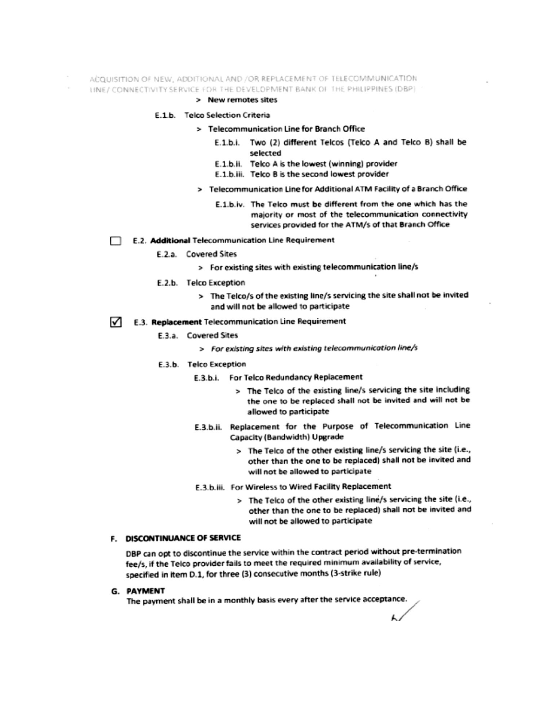#### ACQUISITION OF NEW, ADDITIONAL AND /OR REPLACEMENT OF TELECOMMUNICATION

UNE/ CONNECTIVITY SERVICE FOR THE DEVELOPMENT BANK OF THE PHILIPPINES (DBP)

# > New remotes sites

#### E.1.b. Telco Selection Criteria

- > Telecommunication Line for Branch Office
	- E.1.b.i. Two (2) different Telcos (Telco A and Telco B) shall be selected
	- E.1.b.ii. Telco A is the lowest (winning) provider
	- E.1.b.iii. Telco B is the second lowest provider
	- > Telecommunication Line for Additional ATM Facility of a Branch Office
		- E.1.b.iv. The Telco must be different from the one which has the majority or most of the telecommunication connectivity services provided for the ATM/s of that Branch Office

#### E.2. Additional Telecommunication Line Requirement П.

- E.2.a. Covered Sites
	- > For existing sites with existing telecommunication line/s
- E.2.b. Telco Exception
	- > The Telco/s of the existing line/s servicing the site shall not be invited and will not be allowed to participate

# $\sqrt{\phantom{a}}$  E.3. Replacement Telecommunication Line Requirement

- E.3.a. Covered Sites
	- > For existing sites with existing telecommunication line/s

#### E.3.b. Telco Exception

- E.3.b.i. For Telco Redundancy Replacement
	- > The Telco of the existing line/s servicing the site including the one to be replaced shall not be invited and will not be allowed to participate
- E.3.b.ii. Replacement for the Purpose of Telecommunication Line Capacity (Bandwidth) Upgrade
	- > The Telco of the other existing line/s servicing the site (i.e., other than the one to be replaced) shall not be invited and will not be allowed to participate
- E.3.b.iii. For Wireless to Wired Facility Replacement
	- > The Telco of the other existing line/s servicing the site (i.e., other than the one to be replaced) shall not be invited and will not be allowed to participate

# F. DISCONTINUANCE OF SERVICE

DBP can opt to discontinue the service within the contract period without pre-termination fee/s, if the Telco provider fails to meet the required minimum availability of service, specified in item D.1, for three (3) consecutive months (3-strike rule)

#### G. PAYMENT

The payment shall be in a monthly basis every after the service acceptance.